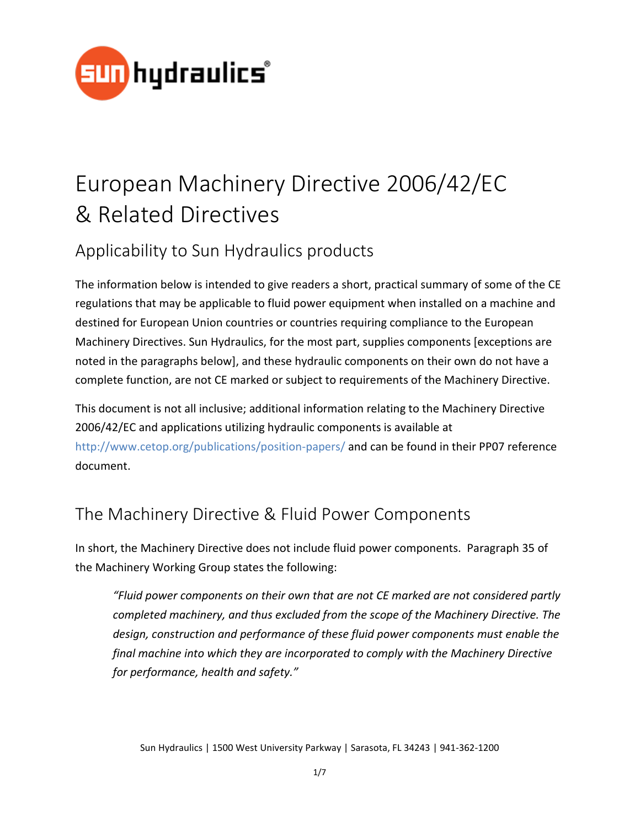

# European Machinery Directive 2006/42/EC & Related Directives

# Applicability to Sun Hydraulics products

The information below is intended to give readers a short, practical summary of some of the CE regulations that may be applicable to fluid power equipment when installed on a machine and destined for European Union countries or countries requiring compliance to the European Machinery Directives. Sun Hydraulics, for the most part, supplies components [exceptions are noted in the paragraphs below], and these hydraulic components on their own do not have a complete function, are not CE marked or subject to requirements of the Machinery Directive.

This document is not all inclusive; additional information relating to the Machinery Directive 2006/42/EC and applications utilizing hydraulic components is available at <http://www.cetop.org/publications/position-papers/> and can be found in their PP07 reference document.

## The Machinery Directive & Fluid Power Components

In short, the Machinery Directive does not include fluid power components. Paragraph 35 of the Machinery Working Group states the following:

*"Fluid power components on their own that are not CE marked are not considered partly completed machinery, and thus excluded from the scope of the Machinery Directive. The design, construction and performance of these fluid power components must enable the final machine into which they are incorporated to comply with the Machinery Directive for performance, health and safety."*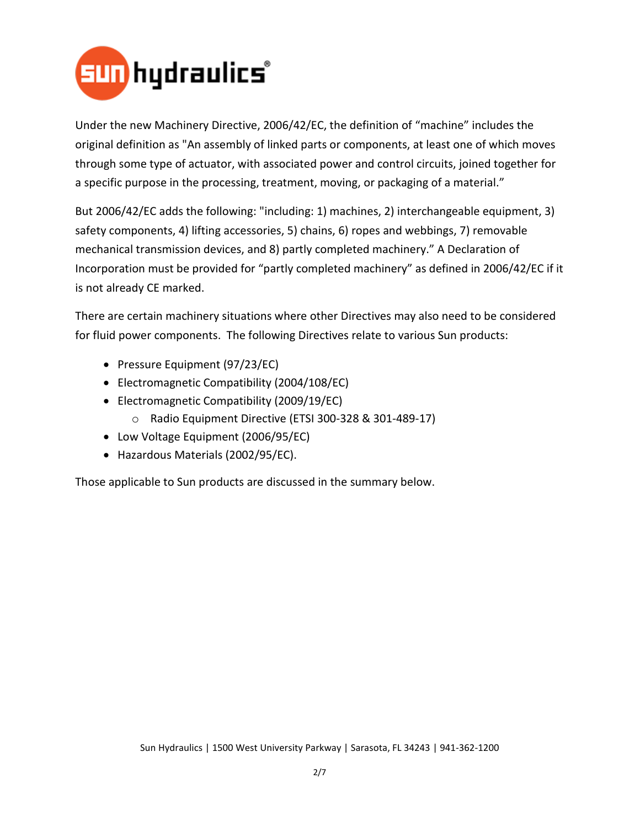

Under the new Machinery Directive, 2006/42/EC, the definition of "machine" includes the original definition as "An assembly of linked parts or components, at least one of which moves through some type of actuator, with associated power and control circuits, joined together for a specific purpose in the processing, treatment, moving, or packaging of a material."

But 2006/42/EC adds the following: "including: 1) machines, 2) interchangeable equipment, 3) safety components, 4) lifting accessories, 5) chains, 6) ropes and webbings, 7) removable mechanical transmission devices, and 8) partly completed machinery." A Declaration of Incorporation must be provided for "partly completed machinery" as defined in 2006/42/EC if it is not already CE marked.

There are certain machinery situations where other Directives may also need to be considered for fluid power components. The following Directives relate to various Sun products:

- Pressure Equipment (97/23/EC)
- Electromagnetic Compatibility (2004/108/EC)
- Electromagnetic Compatibility (2009/19/EC)
	- o Radio Equipment Directive (ETSI 300-328 & 301-489-17)
- Low Voltage Equipment (2006/95/EC)
- Hazardous Materials (2002/95/EC).

Those applicable to Sun products are discussed in the summary below.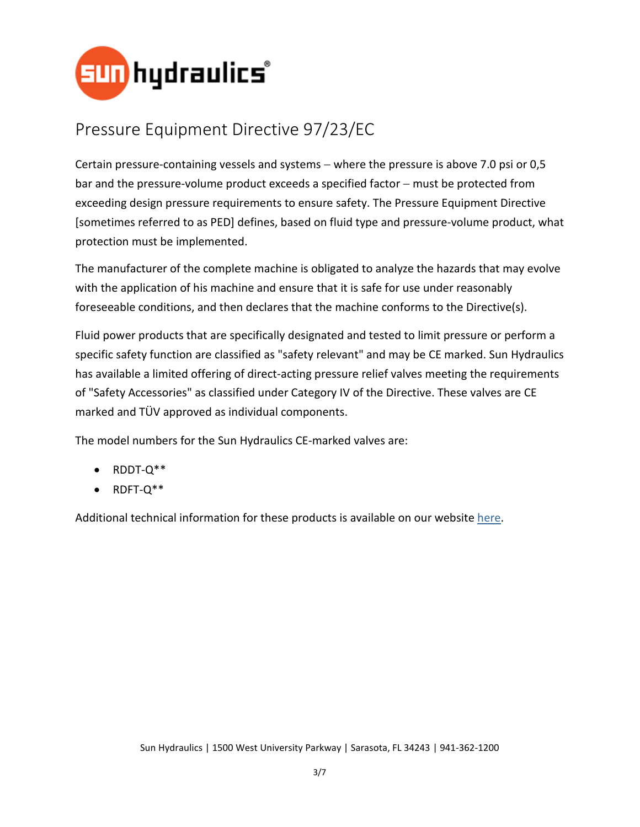

# Pressure Equipment Directive 97/23/EC

Certain pressure-containing vessels and systems − where the pressure is above 7.0 psi or 0,5 bar and the pressure-volume product exceeds a specified factor – must be protected from exceeding design pressure requirements to ensure safety. The Pressure Equipment Directive [sometimes referred to as PED] defines, based on fluid type and pressure-volume product, what protection must be implemented.

The manufacturer of the complete machine is obligated to analyze the hazards that may evolve with the application of his machine and ensure that it is safe for use under reasonably foreseeable conditions, and then declares that the machine conforms to the Directive(s).

Fluid power products that are specifically designated and tested to limit pressure or perform a specific safety function are classified as "safety relevant" and may be CE marked. Sun Hydraulics has available a limited offering of direct-acting pressure relief valves meeting the requirements of "Safety Accessories" as classified under Category IV of the Directive. These valves are CE marked and TÜV approved as individual components.

The model numbers for the Sun Hydraulics CE-marked valves are:

- RDDT-Q\*\*
- RDFT-Q\*\*

Additional technical information for these products is available on our website [here.](http://www.sunhydraulics.com/models/cartridges/pressure-control/relief#%7B%22page%22:1,%22filters%22:%5B%22S-2582%7CDirect-acting%22,%22S-3273%7CCE%20marked%22%5D%7D)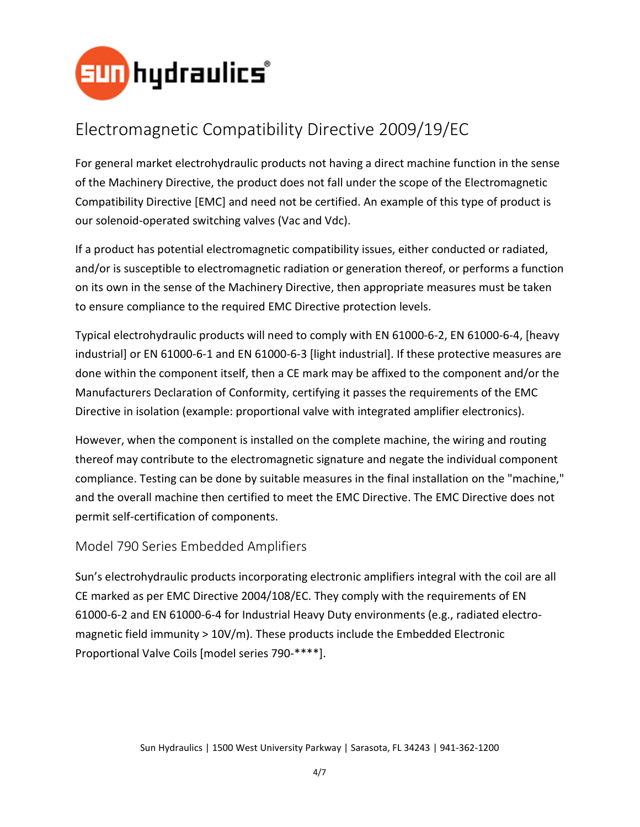

### Electromagnetic Compatibility Directive 2009/19/EC

For general market electrohydraulic products not having a direct machine function in the sense of the Machinery Directive, the product does not fall under the scope of the Electromagnetic Compatibility Directive [EMC] and need not be certified. An example of this type of product is our solenoid-operated switching valves (Vac and Vdc).

If a product has potential electromagnetic compatibility issues, either conducted or radiated, and/or is susceptible to electromagnetic radiation or generation thereof, or performs a function on its own in the sense of the Machinery Directive, then appropriate measures must be taken to ensure compliance to the required EMC Directive protection levels.

Typical electrohydraulic products will need to comply with EN 61000-6-2, EN 61000-6-4, [heavy industrial] or EN 61000-6-1 and EN 61000-6-3 [light industrial]. If these protective measures are done within the component itself, then a CE mark may be affixed to the component and/or the Manufacturers Declaration of Conformity, certifying it passes the requirements of the EMC Directive in isolation (example: proportional valve with integrated amplifier electronics).

However, when the component is installed on the complete machine, the wiring and routing thereof may contribute to the electromagnetic signature and negate the individual component compliance. Testing can be done by suitable measures in the final installation on the "machine," and the overall machine then certified to meet the EMC Directive. The EMC Directive does not permit self-certification of components.

#### Model 790 Series Embedded Amplifiers

Sun's electrohydraulic products incorporating electronic amplifiers integral with the coil are all CE marked as per EMC Directive 2004/108/EC. They comply with the requirements of EN 61000-6-2 and EN 61000-6-4 for Industrial Heavy Duty environments (e.g., radiated electromagnetic field immunity > 10V/m). These products include the Embedded Electronic Proportional Valve Coils [model series 790-\*\*\*\*].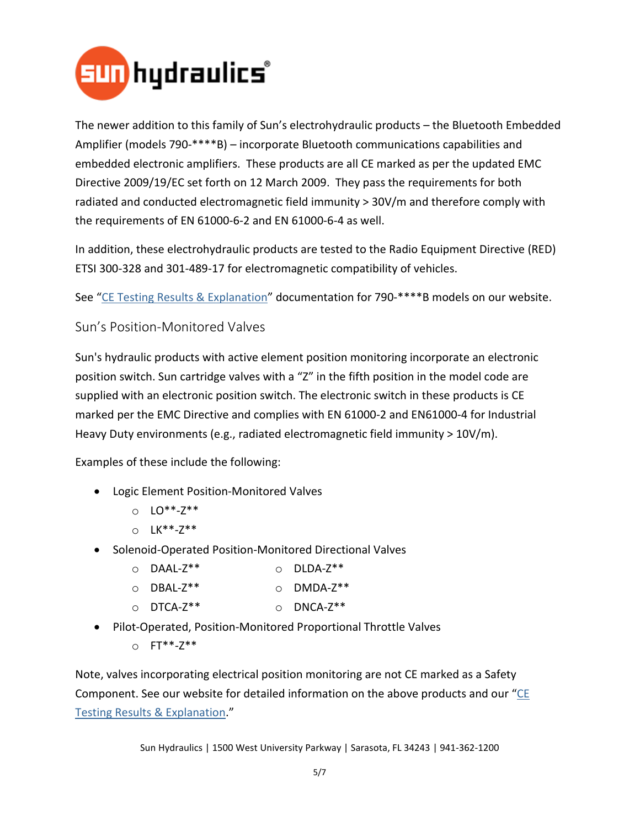

The newer addition to this family of Sun's electrohydraulic products – the Bluetooth Embedded Amplifier (models 790-\*\*\*\*B) – incorporate Bluetooth communications capabilities and embedded electronic amplifiers. These products are all CE marked as per the updated EMC Directive 2009/19/EC set forth on 12 March 2009. They pass the requirements for both radiated and conducted electromagnetic field immunity > 30V/m and therefore comply with the requirements of EN 61000-6-2 and EN 61000-6-4 as well.

In addition, these electrohydraulic products are tested to the Radio Equipment Directive (RED) ETSI 300-328 and 301-489-17 for electromagnetic compatibility of vehicles.

See ["CE Testing Results & Explanation"](http://www.sunhydraulics.com/sites/default/files/media_library/tech_resources/999-991-261.pdf) documentation for 790-\*\*\*\*B models on our website.

Sun's Position-Monitored Valves

Sun's hydraulic products with active element position monitoring incorporate an electronic position switch. Sun cartridge valves with a "Z" in the fifth position in the model code are supplied with an electronic position switch. The electronic switch in these products is CE marked per the EMC Directive and complies with EN 61000-2 and EN61000-4 for Industrial Heavy Duty environments (e.g., radiated electromagnetic field immunity > 10V/m).

Examples of these include the following:

- Logic Element Position-Monitored Valves
	- o LO\*\*-Z\*\*
	- o LK\*\*-Z\*\*
- Solenoid-Operated Position-Monitored Directional Valves
	- o DAAL-Z\*\* o DLDA-Z\*\*
	- o DBAL-Z\*\* o DMDA-Z\*\*
	- o DTCA-Z\*\* o DNCA-Z\*\*
- Pilot-Operated, Position-Monitored Proportional Throttle Valves
	- o FT\*\*-Z\*\*

Note, valves incorporating electrical position monitoring are not CE marked as a Safety Component. See our website for detailed information on the above products and our "CE [Testing Results & Explanation.](http://www.sunhydraulics.com/sites/default/files/media_library/tech_resources/999-991-260.pdf)"

Sun Hydraulics | 1500 West University Parkway | Sarasota, FL 34243 | 941-362-1200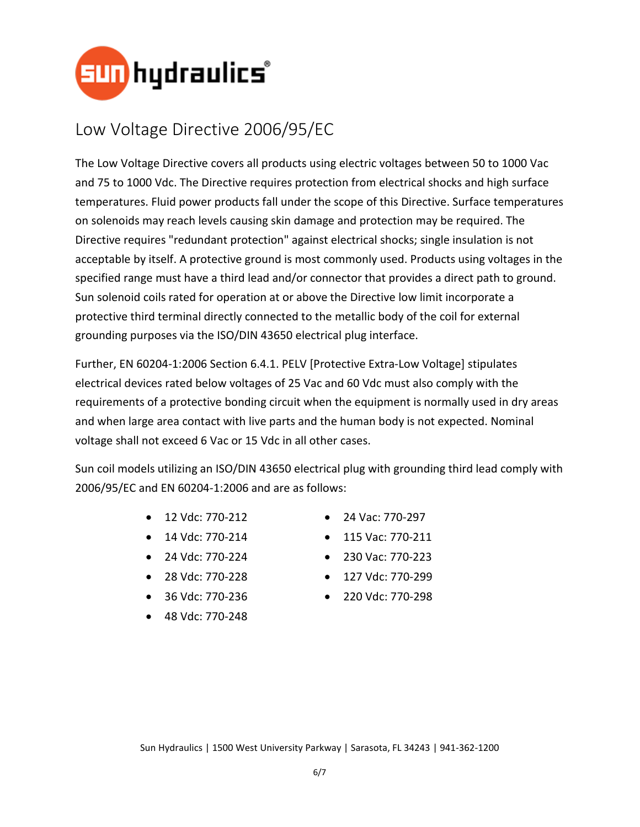

#### Low Voltage Directive 2006/95/EC

The Low Voltage Directive covers all products using electric voltages between 50 to 1000 Vac and 75 to 1000 Vdc. The Directive requires protection from electrical shocks and high surface temperatures. Fluid power products fall under the scope of this Directive. Surface temperatures on solenoids may reach levels causing skin damage and protection may be required. The Directive requires "redundant protection" against electrical shocks; single insulation is not acceptable by itself. A protective ground is most commonly used. Products using voltages in the specified range must have a third lead and/or connector that provides a direct path to ground. Sun solenoid coils rated for operation at or above the Directive low limit incorporate a protective third terminal directly connected to the metallic body of the coil for external grounding purposes via the ISO/DIN 43650 electrical plug interface.

Further, EN 60204-1:2006 Section 6.4.1. PELV [Protective Extra-Low Voltage] stipulates electrical devices rated below voltages of 25 Vac and 60 Vdc must also comply with the requirements of a protective bonding circuit when the equipment is normally used in dry areas and when large area contact with live parts and the human body is not expected. Nominal voltage shall not exceed 6 Vac or 15 Vdc in all other cases.

Sun coil models utilizing an ISO/DIN 43650 electrical plug with grounding third lead comply with 2006/95/EC and EN 60204-1:2006 and are as follows:

- 12 Vdc: 770-212
- 14 Vdc: 770-214
- 24 Vdc: 770-224
- 28 Vdc: 770-228
- 36 Vdc: 770-236
- 48 Vdc: 770-248
- 24 Vac: 770-297
- 115 Vac: 770-211
- 230 Vac: 770-223
- 127 Vdc: 770-299
- 220 Vdc: 770-298